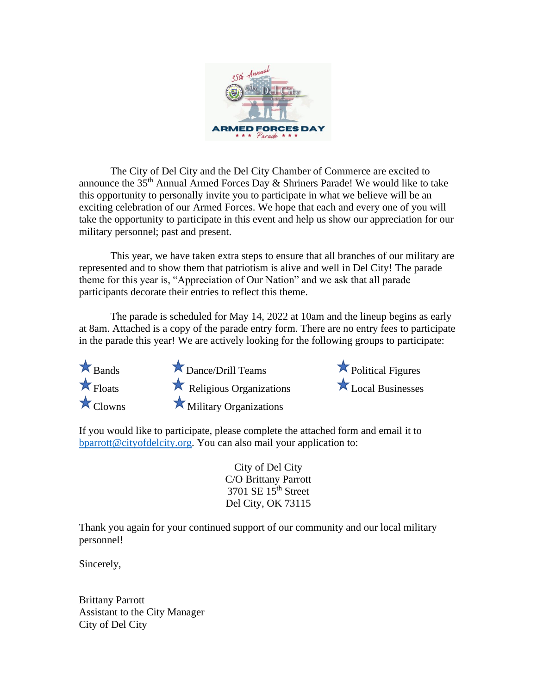

The City of Del City and the Del City Chamber of Commerce are excited to announce the 35<sup>th</sup> Annual Armed Forces Day & Shriners Parade! We would like to take this opportunity to personally invite you to participate in what we believe will be an exciting celebration of our Armed Forces. We hope that each and every one of you will take the opportunity to participate in this event and help us show our appreciation for our military personnel; past and present.

This year, we have taken extra steps to ensure that all branches of our military are represented and to show them that patriotism is alive and well in Del City! The parade theme for this year is, "Appreciation of Our Nation" and we ask that all parade participants decorate their entries to reflect this theme.

The parade is scheduled for May 14, 2022 at 10am and the lineup begins as early at 8am. Attached is a copy of the parade entry form. There are no entry fees to participate in the parade this year! We are actively looking for the following groups to participate:



 $\star$  Bands  $\star$  Dance/Drill Teams  $\star$  Political Figures  $\star$  Floats  $\star$  Religious Organizations  $\star$  Local Businesses  $\star$  Clowns Military Organizations

If you would like to participate, please complete the attached form and email it to [bparrott@cityofdelcity.org.](mailto:bparrott@cityofdelcity.org) You can also mail your application to:

> City of Del City C/O Brittany Parrott 3701 SE 15th Street Del City, OK 73115

Thank you again for your continued support of our community and our local military personnel!

Sincerely,

Brittany Parrott Assistant to the City Manager City of Del City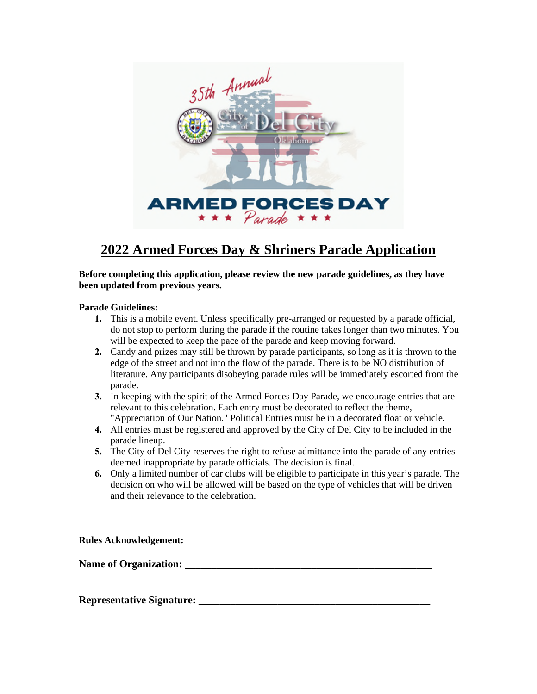

# **2022 Armed Forces Day & Shriners Parade Application**

**Before completing this application, please review the new parade guidelines, as they have been updated from previous years.** 

## **Parade Guidelines:**

- **1.** This is a mobile event. Unless specifically pre-arranged or requested by a parade official, do not stop to perform during the parade if the routine takes longer than two minutes. You will be expected to keep the pace of the parade and keep moving forward.
- **2.** Candy and prizes may still be thrown by parade participants, so long as it is thrown to the edge of the street and not into the flow of the parade. There is to be NO distribution of literature. Any participants disobeying parade rules will be immediately escorted from the parade.
- **3.** In keeping with the spirit of the Armed Forces Day Parade, we encourage entries that are relevant to this celebration. Each entry must be decorated to reflect the theme, "Appreciation of Our Nation." Political Entries must be in a decorated float or vehicle.
- **4.** All entries must be registered and approved by the City of Del City to be included in the parade lineup.
- **5.** The City of Del City reserves the right to refuse admittance into the parade of any entries deemed inappropriate by parade officials. The decision is final.
- **6.** Only a limited number of car clubs will be eligible to participate in this year's parade. The decision on who will be allowed will be based on the type of vehicles that will be driven and their relevance to the celebration.

**Rules Acknowledgement:** 

Name of Organization:

**Representative Signature: \_\_\_\_\_\_\_\_\_\_\_\_\_\_\_\_\_\_\_\_\_\_\_\_\_\_\_\_\_\_\_\_\_\_\_\_\_\_\_\_\_\_\_\_**